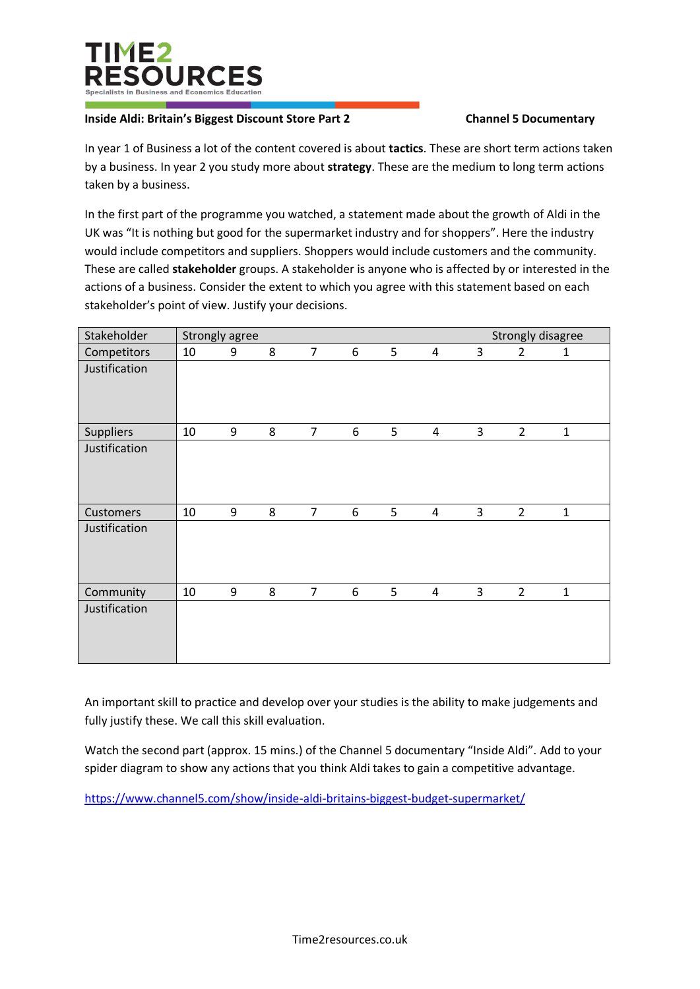

## **Inside Aldi: Britain's Biggest Discount Store Part 2 Channel 5 Documentary**

In year 1 of Business a lot of the content covered is about **tactics**. These are short term actions taken by a business. In year 2 you study more about **strategy**. These are the medium to long term actions taken by a business.

In the first part of the programme you watched, a statement made about the growth of Aldi in the UK was "It is nothing but good for the supermarket industry and for shoppers". Here the industry would include competitors and suppliers. Shoppers would include customers and the community. These are called **stakeholder** groups. A stakeholder is anyone who is affected by or interested in the actions of a business. Consider the extent to which you agree with this statement based on each stakeholder's point of view. Justify your decisions.

| Stakeholder   | Strongly disagree<br>Strongly agree |   |   |                |   |   |                |   |                |              |
|---------------|-------------------------------------|---|---|----------------|---|---|----------------|---|----------------|--------------|
| Competitors   | 10                                  | 9 | 8 | $\overline{7}$ | 6 | 5 | 4              | 3 | 2              | 1            |
| Justification |                                     |   |   |                |   |   |                |   |                |              |
| Suppliers     | 10                                  | 9 | 8 | $\overline{7}$ | 6 | 5 | 4              | 3 | $\overline{2}$ | $\mathbf{1}$ |
| Justification |                                     |   |   |                |   |   |                |   |                |              |
| Customers     | 10                                  | 9 | 8 | $\overline{7}$ | 6 | 5 | $\overline{4}$ | 3 | $\overline{2}$ | $\mathbf{1}$ |
| Justification |                                     |   |   |                |   |   |                |   |                |              |
| Community     | 10                                  | 9 | 8 | $\overline{7}$ | 6 | 5 | 4              | 3 | $\overline{2}$ | $\mathbf{1}$ |
| Justification |                                     |   |   |                |   |   |                |   |                |              |

An important skill to practice and develop over your studies is the ability to make judgements and fully justify these. We call this skill evaluation.

Watch the second part (approx. 15 mins.) of the Channel 5 documentary "Inside Aldi". Add to your spider diagram to show any actions that you think Aldi takes to gain a competitive advantage.

<https://www.channel5.com/show/inside-aldi-britains-biggest-budget-supermarket/>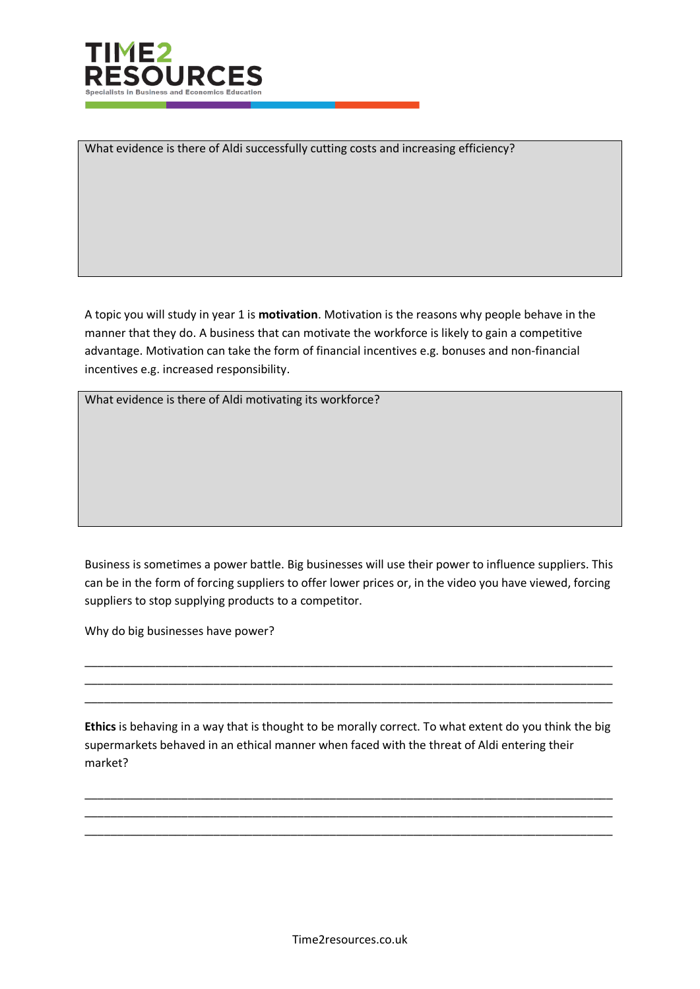

What evidence is there of Aldi successfully cutting costs and increasing efficiency?

A topic you will study in year 1 is **motivation**. Motivation is the reasons why people behave in the manner that they do. A business that can motivate the workforce is likely to gain a competitive advantage. Motivation can take the form of financial incentives e.g. bonuses and non-financial incentives e.g. increased responsibility.

What evidence is there of Aldi motivating its workforce?

Business is sometimes a power battle. Big businesses will use their power to influence suppliers. This can be in the form of forcing suppliers to offer lower prices or, in the video you have viewed, forcing suppliers to stop supplying products to a competitor.

\_\_\_\_\_\_\_\_\_\_\_\_\_\_\_\_\_\_\_\_\_\_\_\_\_\_\_\_\_\_\_\_\_\_\_\_\_\_\_\_\_\_\_\_\_\_\_\_\_\_\_\_\_\_\_\_\_\_\_\_\_\_\_\_\_\_\_\_\_\_\_\_\_\_\_\_\_\_\_\_\_\_ \_\_\_\_\_\_\_\_\_\_\_\_\_\_\_\_\_\_\_\_\_\_\_\_\_\_\_\_\_\_\_\_\_\_\_\_\_\_\_\_\_\_\_\_\_\_\_\_\_\_\_\_\_\_\_\_\_\_\_\_\_\_\_\_\_\_\_\_\_\_\_\_\_\_\_\_\_\_\_\_\_\_ \_\_\_\_\_\_\_\_\_\_\_\_\_\_\_\_\_\_\_\_\_\_\_\_\_\_\_\_\_\_\_\_\_\_\_\_\_\_\_\_\_\_\_\_\_\_\_\_\_\_\_\_\_\_\_\_\_\_\_\_\_\_\_\_\_\_\_\_\_\_\_\_\_\_\_\_\_\_\_\_\_\_

Why do big businesses have power?

**Ethics** is behaving in a way that is thought to be morally correct. To what extent do you think the big supermarkets behaved in an ethical manner when faced with the threat of Aldi entering their market?

\_\_\_\_\_\_\_\_\_\_\_\_\_\_\_\_\_\_\_\_\_\_\_\_\_\_\_\_\_\_\_\_\_\_\_\_\_\_\_\_\_\_\_\_\_\_\_\_\_\_\_\_\_\_\_\_\_\_\_\_\_\_\_\_\_\_\_\_\_\_\_\_\_\_\_\_\_\_\_\_\_\_ \_\_\_\_\_\_\_\_\_\_\_\_\_\_\_\_\_\_\_\_\_\_\_\_\_\_\_\_\_\_\_\_\_\_\_\_\_\_\_\_\_\_\_\_\_\_\_\_\_\_\_\_\_\_\_\_\_\_\_\_\_\_\_\_\_\_\_\_\_\_\_\_\_\_\_\_\_\_\_\_\_\_ \_\_\_\_\_\_\_\_\_\_\_\_\_\_\_\_\_\_\_\_\_\_\_\_\_\_\_\_\_\_\_\_\_\_\_\_\_\_\_\_\_\_\_\_\_\_\_\_\_\_\_\_\_\_\_\_\_\_\_\_\_\_\_\_\_\_\_\_\_\_\_\_\_\_\_\_\_\_\_\_\_\_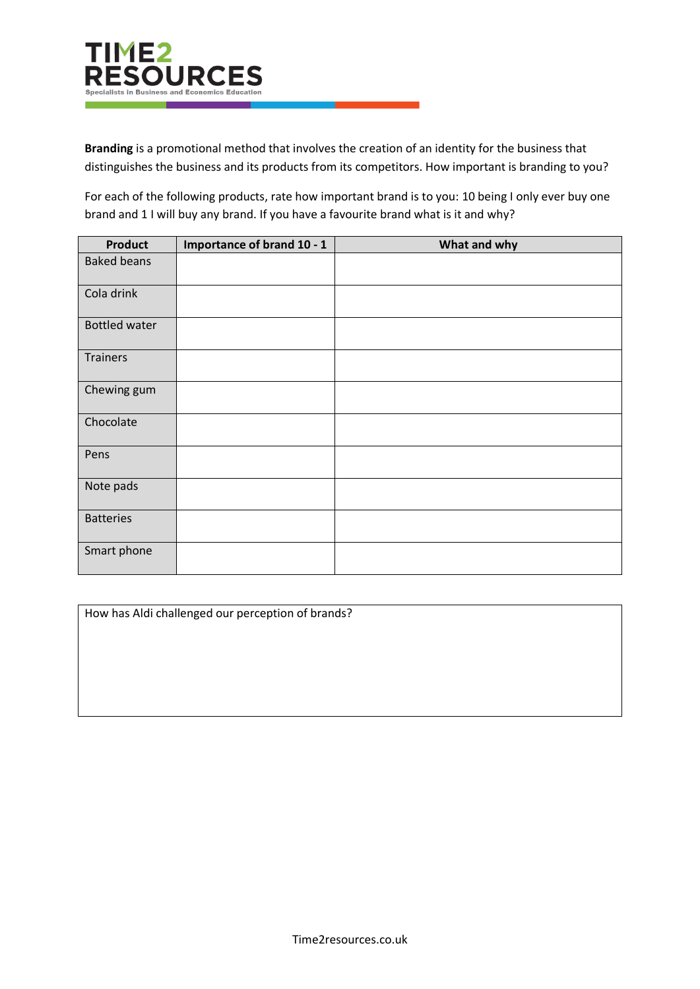

**Branding** is a promotional method that involves the creation of an identity for the business that distinguishes the business and its products from its competitors. How important is branding to you?

For each of the following products, rate how important brand is to you: 10 being I only ever buy one brand and 1 I will buy any brand. If you have a favourite brand what is it and why?

| <b>Product</b>       | Importance of brand 10 - 1 | What and why |
|----------------------|----------------------------|--------------|
| <b>Baked beans</b>   |                            |              |
| Cola drink           |                            |              |
| <b>Bottled water</b> |                            |              |
| Trainers             |                            |              |
| Chewing gum          |                            |              |
| Chocolate            |                            |              |
| Pens                 |                            |              |
| Note pads            |                            |              |
| <b>Batteries</b>     |                            |              |
| Smart phone          |                            |              |

How has Aldi challenged our perception of brands?